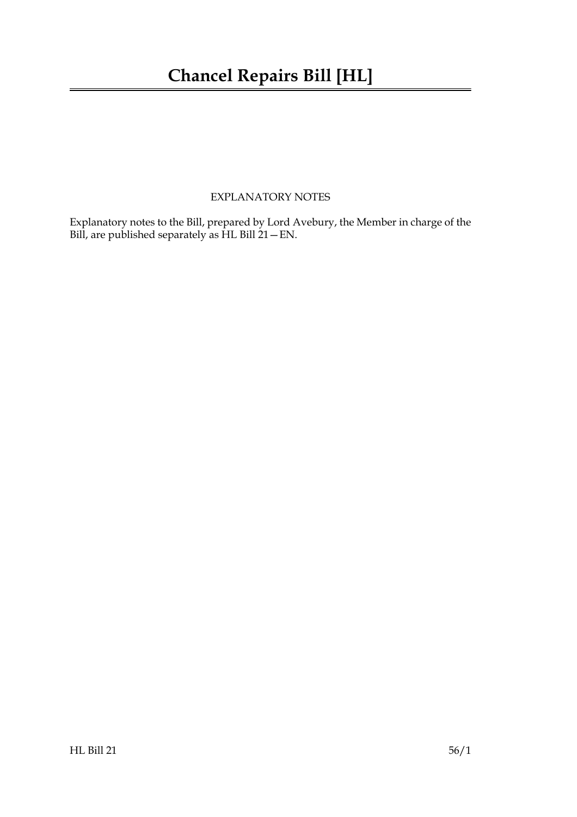## **Chancel Repairs Bill [HL]**

### EXPLANATORY NOTES

Explanatory notes to the Bill, prepared by Lord Avebury, the Member in charge of the Bill, are published separately as HL Bill 21—EN.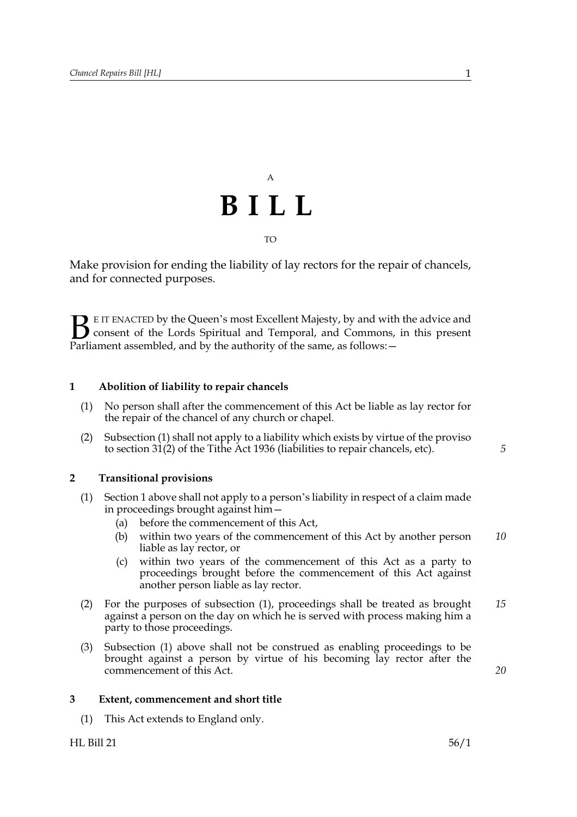

Make provision for ending the liability of lay rectors for the repair of chancels, and for connected purposes.

E IT ENACTED by the Queen's most Excellent Majesty, by and with the advice and consent of the Lords Spiritual and Temporal, and Commons, in this present **B** E IT ENACTED by the Queen's most Excellent Majesty, by and with consent of the Lords Spiritual and Temporal, and Commons, Parliament assembled, and by the authority of the same, as follows:  $-$ 

#### **1 Abolition of liability to repair chancels**

- (1) No person shall after the commencement of this Act be liable as lay rector for the repair of the chancel of any church or chapel.
- (2) Subsection (1) shall not apply to a liability which exists by virtue of the proviso to section 31(2) of the Tithe Act 1936 (liabilities to repair chancels, etc).

#### **2 Transitional provisions**

- (1) Section 1 above shall not apply to a person's liability in respect of a claim made in proceedings brought against him—
	- (a) before the commencement of this Act,
	- (b) within two years of the commencement of this Act by another person liable as lay rector, or *10*
	- (c) within two years of the commencement of this Act as a party to proceedings brought before the commencement of this Act against another person liable as lay rector.
- (2) For the purposes of subsection (1), proceedings shall be treated as brought against a person on the day on which he is served with process making him a party to those proceedings. *15*
- (3) Subsection (1) above shall not be construed as enabling proceedings to be brought against a person by virtue of his becoming lay rector after the commencement of this Act.

#### **3 Extent, commencement and short title**

(1) This Act extends to England only.

*5*

*20*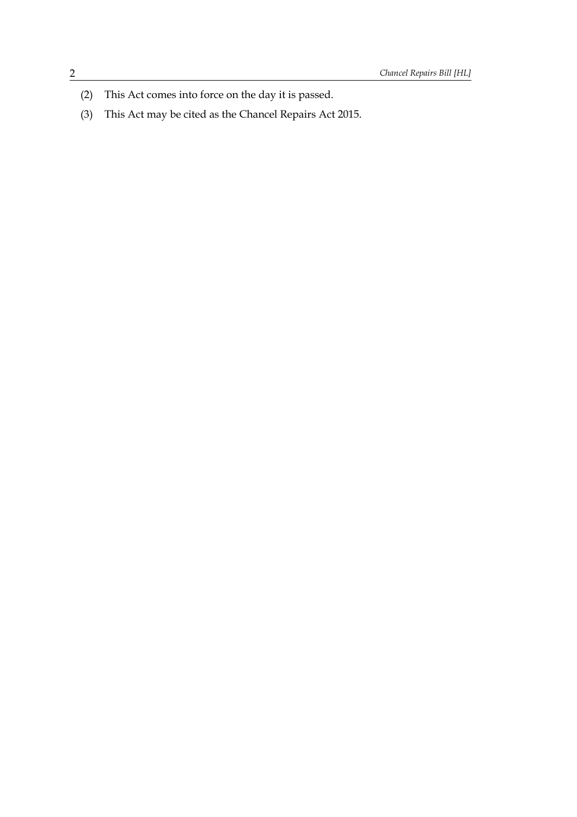- (2) This Act comes into force on the day it is passed.
- (3) This Act may be cited as the Chancel Repairs Act 2015.